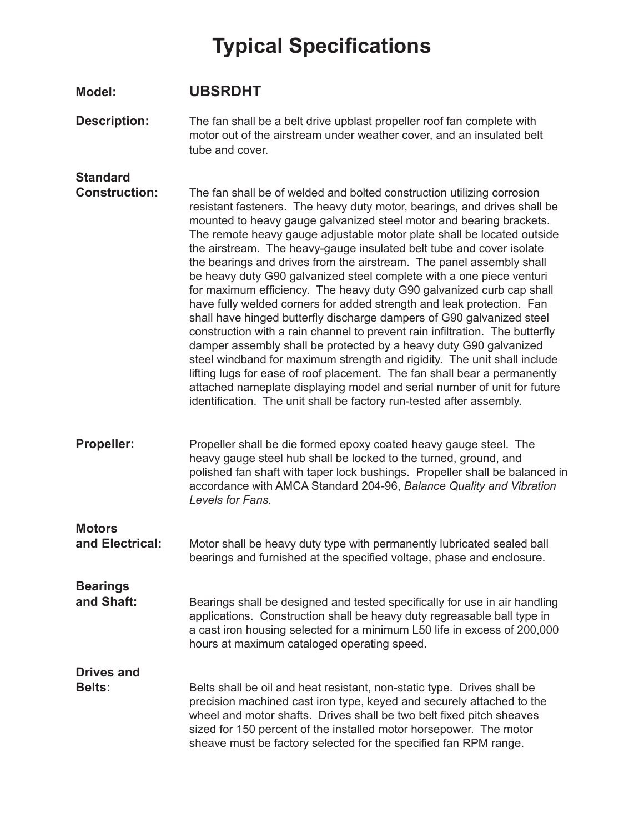## **Typical Specifications**

| <b>Model:</b>                           | <b>UBSRDHT</b>                                                                                                                                                                                                                                                                                                                                                                                                                                                                                                                                                                                                                                                                                                                                                                                                                                                                                                                                                                                                                                                                                                                                                                                                          |
|-----------------------------------------|-------------------------------------------------------------------------------------------------------------------------------------------------------------------------------------------------------------------------------------------------------------------------------------------------------------------------------------------------------------------------------------------------------------------------------------------------------------------------------------------------------------------------------------------------------------------------------------------------------------------------------------------------------------------------------------------------------------------------------------------------------------------------------------------------------------------------------------------------------------------------------------------------------------------------------------------------------------------------------------------------------------------------------------------------------------------------------------------------------------------------------------------------------------------------------------------------------------------------|
| <b>Description:</b>                     | The fan shall be a belt drive upblast propeller roof fan complete with<br>motor out of the airstream under weather cover, and an insulated belt<br>tube and cover.                                                                                                                                                                                                                                                                                                                                                                                                                                                                                                                                                                                                                                                                                                                                                                                                                                                                                                                                                                                                                                                      |
| <b>Standard</b><br><b>Construction:</b> | The fan shall be of welded and bolted construction utilizing corrosion<br>resistant fasteners. The heavy duty motor, bearings, and drives shall be<br>mounted to heavy gauge galvanized steel motor and bearing brackets.<br>The remote heavy gauge adjustable motor plate shall be located outside<br>the airstream. The heavy-gauge insulated belt tube and cover isolate<br>the bearings and drives from the airstream. The panel assembly shall<br>be heavy duty G90 galvanized steel complete with a one piece venturi<br>for maximum efficiency. The heavy duty G90 galvanized curb cap shall<br>have fully welded corners for added strength and leak protection. Fan<br>shall have hinged butterfly discharge dampers of G90 galvanized steel<br>construction with a rain channel to prevent rain infiltration. The butterfly<br>damper assembly shall be protected by a heavy duty G90 galvanized<br>steel windband for maximum strength and rigidity. The unit shall include<br>lifting lugs for ease of roof placement. The fan shall bear a permanently<br>attached nameplate displaying model and serial number of unit for future<br>identification. The unit shall be factory run-tested after assembly. |
| <b>Propeller:</b>                       | Propeller shall be die formed epoxy coated heavy gauge steel. The<br>heavy gauge steel hub shall be locked to the turned, ground, and<br>polished fan shaft with taper lock bushings. Propeller shall be balanced in<br>accordance with AMCA Standard 204-96, Balance Quality and Vibration<br>Levels for Fans.                                                                                                                                                                                                                                                                                                                                                                                                                                                                                                                                                                                                                                                                                                                                                                                                                                                                                                         |
| <b>Motors</b><br>and Electrical:        | Motor shall be heavy duty type with permanently lubricated sealed ball<br>bearings and furnished at the specified voltage, phase and enclosure.                                                                                                                                                                                                                                                                                                                                                                                                                                                                                                                                                                                                                                                                                                                                                                                                                                                                                                                                                                                                                                                                         |
| <b>Bearings</b><br>and Shaft:           | Bearings shall be designed and tested specifically for use in air handling<br>applications. Construction shall be heavy duty regreasable ball type in<br>a cast iron housing selected for a minimum L50 life in excess of 200,000<br>hours at maximum cataloged operating speed.                                                                                                                                                                                                                                                                                                                                                                                                                                                                                                                                                                                                                                                                                                                                                                                                                                                                                                                                        |
| <b>Drives and</b><br><b>Belts:</b>      | Belts shall be oil and heat resistant, non-static type. Drives shall be<br>precision machined cast iron type, keyed and securely attached to the<br>wheel and motor shafts. Drives shall be two belt fixed pitch sheaves<br>sized for 150 percent of the installed motor horsepower. The motor<br>sheave must be factory selected for the specified fan RPM range.                                                                                                                                                                                                                                                                                                                                                                                                                                                                                                                                                                                                                                                                                                                                                                                                                                                      |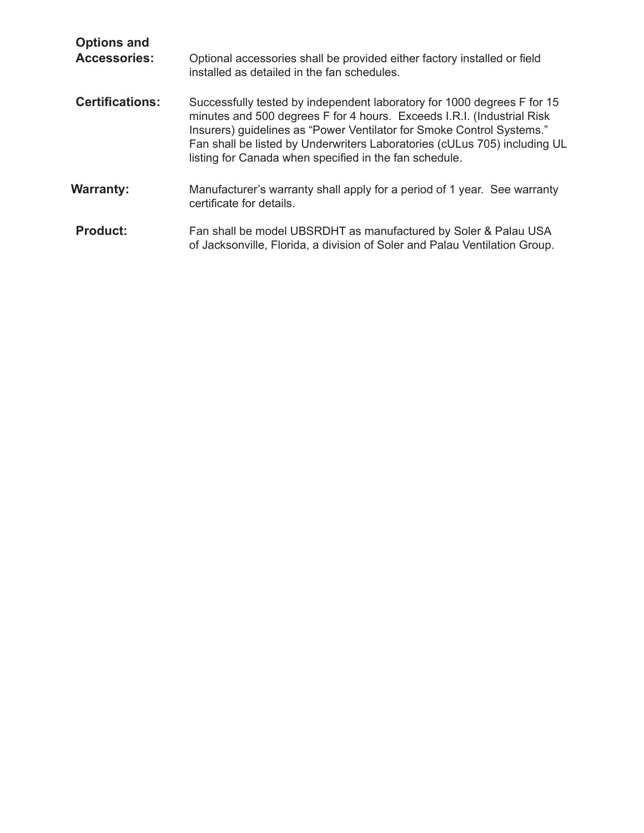| <b>Options and</b><br><b>Accessories:</b> | Optional accessories shall be provided either factory installed or field<br>installed as detailed in the fan schedules.                                                                                                                                                                                                                                           |
|-------------------------------------------|-------------------------------------------------------------------------------------------------------------------------------------------------------------------------------------------------------------------------------------------------------------------------------------------------------------------------------------------------------------------|
| <b>Certifications:</b>                    | Successfully tested by independent laboratory for 1000 degrees F for 15<br>minutes and 500 degrees F for 4 hours. Exceeds I.R.I. (Industrial Risk<br>Insurers) guidelines as "Power Ventilator for Smoke Control Systems."<br>Fan shall be listed by Underwriters Laboratories (cULus 705) including UL<br>listing for Canada when specified in the fan schedule. |
| <b>Warranty:</b>                          | Manufacturer's warranty shall apply for a period of 1 year. See warranty<br>certificate for details.                                                                                                                                                                                                                                                              |
| <b>Product:</b>                           | Fan shall be model UBSRDHT as manufactured by Soler & Palau USA<br>of Jacksonville, Florida, a division of Soler and Palau Ventilation Group.                                                                                                                                                                                                                     |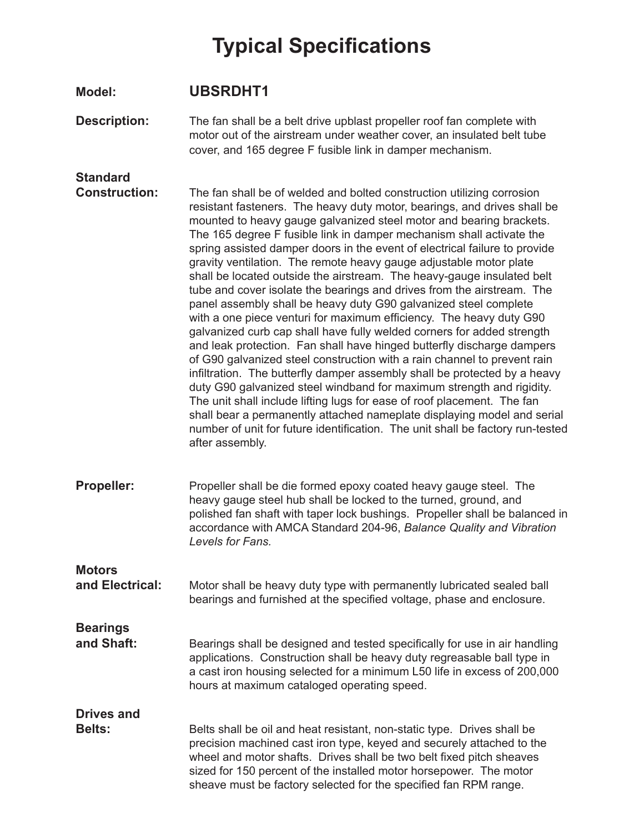## **Typical Specifications**

**Description:** The fan shall be a belt drive upblast propeller roof fan complete with motor out of the airstream under weather cover, an insulated belt tube cover, and 165 degree F fusible link in damper mechanism.

## **Standard**

**Motors** 

**Construction:** The fan shall be of welded and bolted construction utilizing corrosion resistant fasteners. The heavy duty motor, bearings, and drives shall be mounted to heavy gauge galvanized steel motor and bearing brackets. The 165 degree F fusible link in damper mechanism shall activate the spring assisted damper doors in the event of electrical failure to provide gravity ventilation. The remote heavy gauge adjustable motor plate shall be located outside the airstream. The heavy-gauge insulated belt tube and cover isolate the bearings and drives from the airstream. The panel assembly shall be heavy duty G90 galvanized steel complete with a one piece venturi for maximum efficiency. The heavy duty G90 galvanized curb cap shall have fully welded corners for added strength and leak protection. Fan shall have hinged butterfly discharge dampers of G90 galvanized steel construction with a rain channel to prevent rain infiltration. The butterfly damper assembly shall be protected by a heavy duty G90 galvanized steel windband for maximum strength and rigidity. The unit shall include lifting lugs for ease of roof placement. The fan shall bear a permanently attached nameplate displaying model and serial number of unit for future identification. The unit shall be factory run-tested after assembly.

**Propeller:** Propeller shall be die formed epoxy coated heavy gauge steel. The heavy gauge steel hub shall be locked to the turned, ground, and polished fan shaft with taper lock bushings. Propeller shall be balanced in accordance with AMCA Standard 204-96, *Balance Quality and Vibration Levels for Fans.*

**and Electrical:** Motor shall be heavy duty type with permanently lubricated sealed ball bearings and furnished at the specified voltage, phase and enclosure.

**Bearings and Shaft:** Bearings shall be designed and tested specifically for use in air handling applications. Construction shall be heavy duty regreasable ball type in a cast iron housing selected for a minimum L50 life in excess of 200,000 hours at maximum cataloged operating speed.

**Drives and Belts:** Belts shall be oil and heat resistant, non-static type. Drives shall be precision machined cast iron type, keyed and securely attached to the wheel and motor shafts. Drives shall be two belt fixed pitch sheaves sized for 150 percent of the installed motor horsepower. The motor sheave must be factory selected for the specified fan RPM range.